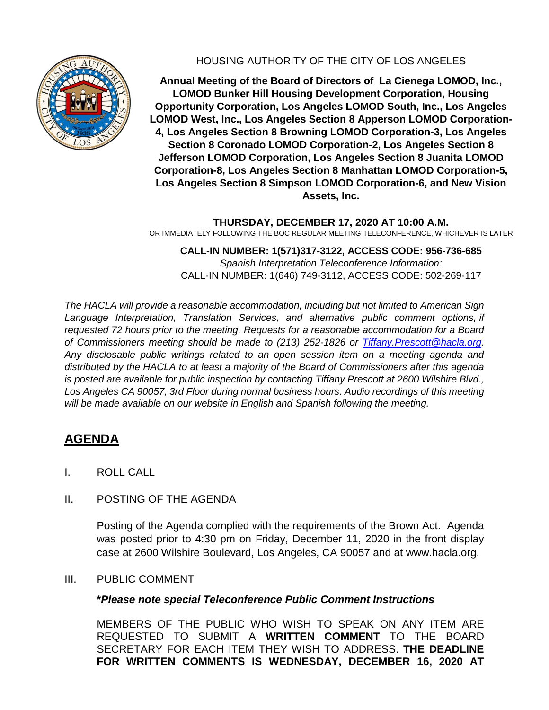

## HOUSING AUTHORITY OF THE CITY OF LOS ANGELES

**Annual Meeting of the Board of Directors of La Cienega LOMOD, Inc., LOMOD Bunker Hill Housing Development Corporation, Housing Opportunity Corporation, Los Angeles LOMOD South, Inc., Los Angeles LOMOD West, Inc., Los Angeles Section 8 Apperson LOMOD Corporation-4, Los Angeles Section 8 Browning LOMOD Corporation-3, Los Angeles Section 8 Coronado LOMOD Corporation-2, Los Angeles Section 8 Jefferson LOMOD Corporation, Los Angeles Section 8 Juanita LOMOD Corporation-8, Los Angeles Section 8 Manhattan LOMOD Corporation-5, Los Angeles Section 8 Simpson LOMOD Corporation-6, and New Vision Assets, Inc.**

**THURSDAY, DECEMBER 17, 2020 AT 10:00 A.M.** OR IMMEDIATELY FOLLOWING THE BOC REGULAR MEETING TELECONFERENCE, WHICHEVER IS LATER

**CALL-IN NUMBER: 1(571)317-3122, ACCESS CODE: 956-736-685** *Spanish Interpretation Teleconference Information:* CALL-IN NUMBER: 1(646) 749-3112, ACCESS CODE: 502-269-117

*The HACLA will provide a reasonable accommodation, including but not limited to American Sign Language Interpretation, Translation Services, and alternative public comment options, if requested 72 hours prior to the meeting. Requests for a reasonable accommodation for a Board of Commissioners meeting should be made to (213) 252-1826 or Tiffany.Prescott@hacla.org. Any disclosable public writings related to an open session item on a meeting agenda and distributed by the HACLA to at least a majority of the Board of Commissioners after this agenda is posted are available for public inspection by contacting Tiffany Prescott at 2600 Wilshire Blvd., Los Angeles CA 90057, 3rd Floor during normal business hours. Audio recordings of this meeting will be made available on our website in English and Spanish following the meeting.*

# **AGENDA**

- I. ROLL CALL
- II. POSTING OF THE AGENDA

Posting of the Agenda complied with the requirements of the Brown Act. Agenda was posted prior to 4:30 pm on Friday, December 11, 2020 in the front display case at 2600 Wilshire Boulevard, Los Angeles, CA 90057 and at www.hacla.org.

III. PUBLIC COMMENT

#### **\****Please note special Teleconference Public Comment Instructions*

MEMBERS OF THE PUBLIC WHO WISH TO SPEAK ON ANY ITEM ARE REQUESTED TO SUBMIT A **WRITTEN COMMENT** TO THE BOARD SECRETARY FOR EACH ITEM THEY WISH TO ADDRESS. **THE DEADLINE FOR WRITTEN COMMENTS IS WEDNESDAY, DECEMBER 16, 2020 AT**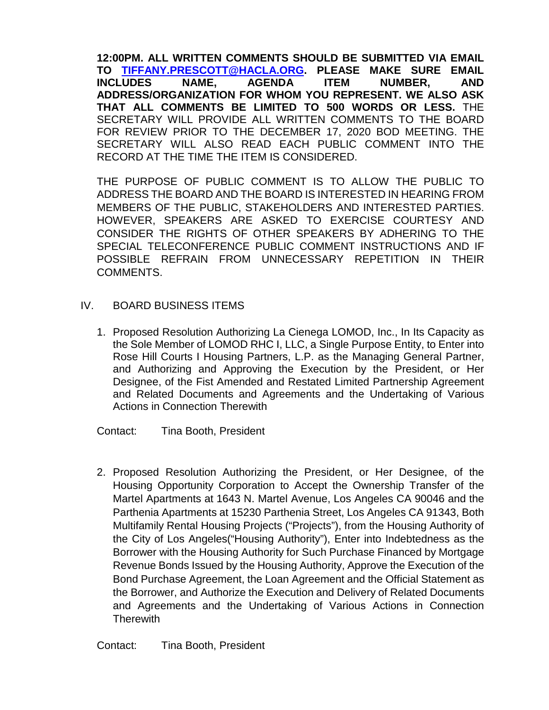**12:00PM. ALL WRITTEN COMMENTS SHOULD BE SUBMITTED VIA EMAIL TO [TIFFANY.PRESCOTT@HACLA.ORG.](about:blank) PLEASE MAKE SURE EMAIL INCLUDES NAME, AGENDA ITEM NUMBER, AND ADDRESS/ORGANIZATION FOR WHOM YOU REPRESENT. WE ALSO ASK THAT ALL COMMENTS BE LIMITED TO 500 WORDS OR LESS.** THE SECRETARY WILL PROVIDE ALL WRITTEN COMMENTS TO THE BOARD FOR REVIEW PRIOR TO THE DECEMBER 17, 2020 BOD MEETING. THE SECRETARY WILL ALSO READ EACH PUBLIC COMMENT INTO THE RECORD AT THE TIME THE ITEM IS CONSIDERED.

THE PURPOSE OF PUBLIC COMMENT IS TO ALLOW THE PUBLIC TO ADDRESS THE BOARD AND THE BOARD IS INTERESTED IN HEARING FROM MEMBERS OF THE PUBLIC, STAKEHOLDERS AND INTERESTED PARTIES. HOWEVER, SPEAKERS ARE ASKED TO EXERCISE COURTESY AND CONSIDER THE RIGHTS OF OTHER SPEAKERS BY ADHERING TO THE SPECIAL TELECONFERENCE PUBLIC COMMENT INSTRUCTIONS AND IF POSSIBLE REFRAIN FROM UNNECESSARY REPETITION IN THEIR COMMENTS.

### IV. BOARD BUSINESS ITEMS

1. Proposed Resolution Authorizing La Cienega LOMOD, Inc., In Its Capacity as the Sole Member of LOMOD RHC I, LLC, a Single Purpose Entity, to Enter into Rose Hill Courts I Housing Partners, L.P. as the Managing General Partner, and Authorizing and Approving the Execution by the President, or Her Designee, of the Fist Amended and Restated Limited Partnership Agreement and Related Documents and Agreements and the Undertaking of Various Actions in Connection Therewith

Contact: Tina Booth, President

2. Proposed Resolution Authorizing the President, or Her Designee, of the Housing Opportunity Corporation to Accept the Ownership Transfer of the Martel Apartments at 1643 N. Martel Avenue, Los Angeles CA 90046 and the Parthenia Apartments at 15230 Parthenia Street, Los Angeles CA 91343, Both Multifamily Rental Housing Projects ("Projects"), from the Housing Authority of the City of Los Angeles("Housing Authority"), Enter into Indebtedness as the Borrower with the Housing Authority for Such Purchase Financed by Mortgage Revenue Bonds Issued by the Housing Authority, Approve the Execution of the Bond Purchase Agreement, the Loan Agreement and the Official Statement as the Borrower, and Authorize the Execution and Delivery of Related Documents and Agreements and the Undertaking of Various Actions in Connection **Therewith**